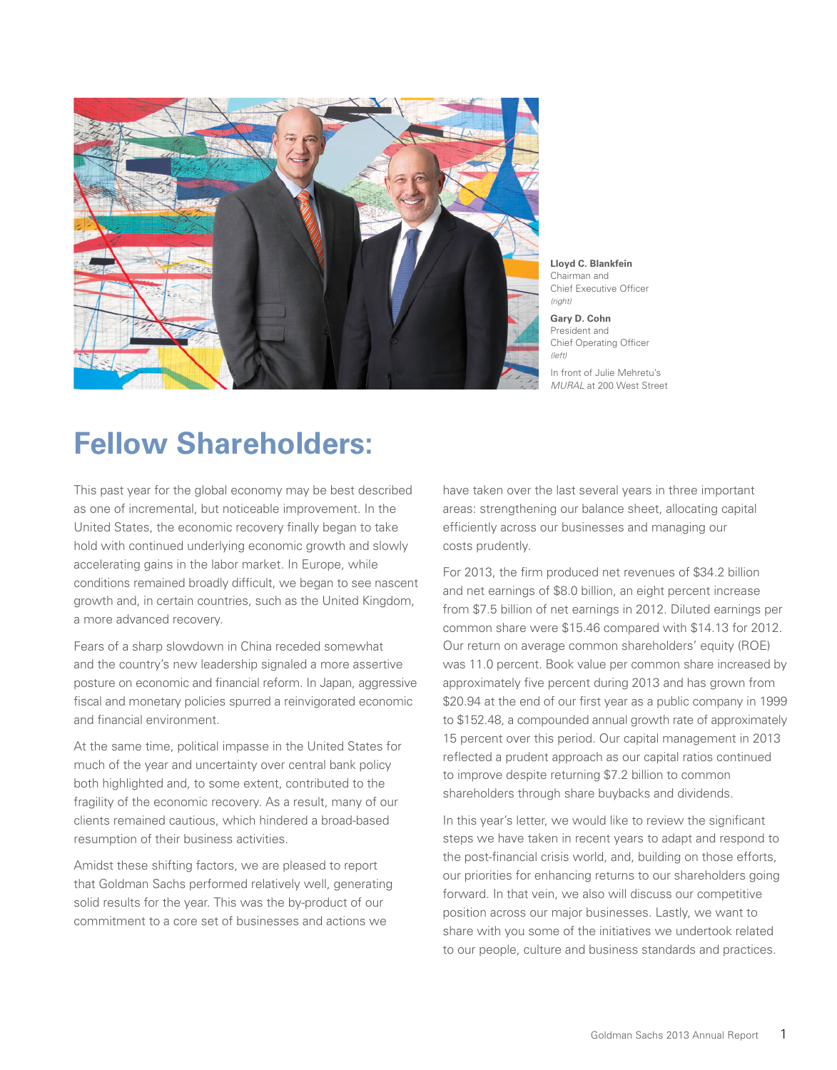

**Lloyd C. Blankfein**  Chairman and Chief Executive Officer *(right)*

**Gary D. Cohn**  President and Chief Operating Officer *(left)* In front of Julie Mehretu's *MURAL* at 200 West Street

# **Fellow Shareholders:**

This past year for the global economy may be best described as one of incremental, but noticeable improvement. In the United States, the economic recovery finally began to take hold with continued underlying economic growth and slowly accelerating gains in the labor market. In Europe, while conditions remained broadly difficult, we began to see nascent growth and, in certain countries, such as the United Kingdom, a more advanced recovery.

Fears of a sharp slowdown in China receded somewhat and the country's new leadership signaled a more assertive posture on economic and financial reform. In Japan, aggressive fiscal and monetary policies spurred a reinvigorated economic and financial environment.

At the same time, political impasse in the United States for much of the year and uncertainty over central bank policy both highlighted and, to some extent, contributed to the fragility of the economic recovery. As a result, many of our clients remained cautious, which hindered a broad-based resumption of their business activities.

Amidst these shifting factors, we are pleased to report that Goldman Sachs performed relatively well, generating solid results for the year. This was the by-product of our commitment to a core set of businesses and actions we

have taken over the last several years in three important areas: strengthening our balance sheet, allocating capital efficiently across our businesses and managing our costs prudently.

For 2013, the firm produced net revenues of \$34.2 billion and net earnings of \$8.0 billion, an eight percent increase from \$7.5 billion of net earnings in 2012. Diluted earnings per common share were \$15.46 compared with \$14.13 for 2012. Our return on average common shareholders' equity (ROE) was 11.0 percent. Book value per common share increased by approximately five percent during 2013 and has grown from \$20.94 at the end of our first year as a public company in 1999 to \$152.48, a compounded annual growth rate of approximately 15 percent over this period. Our capital management in 2013 reflected a prudent approach as our capital ratios continued to improve despite returning \$7.2 billion to common shareholders through share buybacks and dividends.

In this year's letter, we would like to review the significant steps we have taken in recent years to adapt and respond to the post-financial crisis world, and, building on those efforts, our priorities for enhancing returns to our shareholders going forward. In that vein, we also will discuss our competitive position across our major businesses. Lastly, we want to share with you some of the initiatives we undertook related to our people, culture and business standards and practices.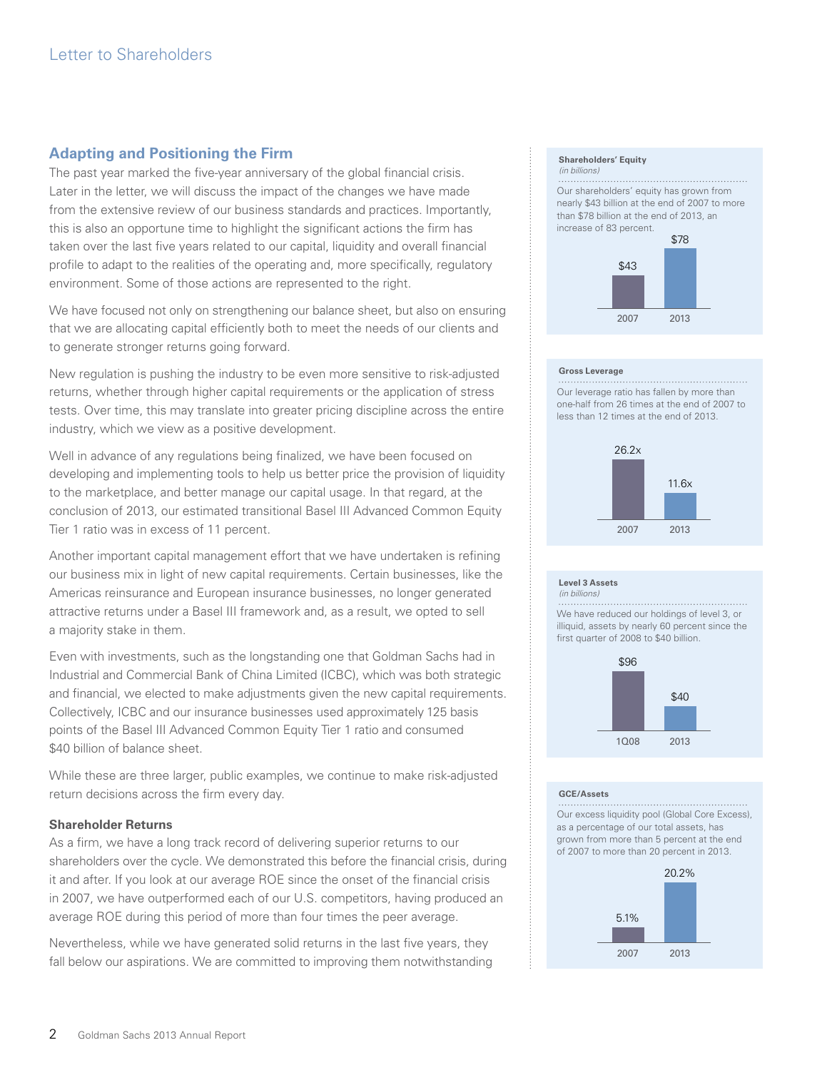# **Adapting and Positioning the Firm**

The past year marked the five-year anniversary of the global financial crisis. Later in the letter, we will discuss the impact of the changes we have made from the extensive review of our business standards and practices. Importantly, this is also an opportune time to highlight the significant actions the firm has taken over the last five years related to our capital, liquidity and overall financial profile to adapt to the realities of the operating and, more specifically, regulatory environment. Some of those actions are represented to the right.

We have focused not only on strengthening our balance sheet, but also on ensuring that we are allocating capital efficiently both to meet the needs of our clients and to generate stronger returns going forward.

New regulation is pushing the industry to be even more sensitive to risk-adjusted returns, whether through higher capital requirements or the application of stress tests. Over time, this may translate into greater pricing discipline across the entire industry, which we view as a positive development.

Well in advance of any regulations being finalized, we have been focused on developing and implementing tools to help us better price the provision of liquidity to the marketplace, and better manage our capital usage. In that regard, at the conclusion of 2013, our estimated transitional Basel III Advanced Common Equity Tier 1 ratio was in excess of 11 percent.

Another important capital management effort that we have undertaken is refining our business mix in light of new capital requirements. Certain businesses, like the Americas reinsurance and European insurance businesses, no longer generated attractive returns under a Basel III framework and, as a result, we opted to sell a majority stake in them.

Even with investments, such as the longstanding one that Goldman Sachs had in Industrial and Commercial Bank of China Limited (ICBC), which was both strategic and financial, we elected to make adjustments given the new capital requirements. Collectively, ICBC and our insurance businesses used approximately 125 basis points of the Basel III Advanced Common Equity Tier 1 ratio and consumed \$40 billion of balance sheet.

While these are three larger, public examples, we continue to make risk-adjusted return decisions across the firm every day.

#### **Shareholder Returns**

As a firm, we have a long track record of delivering superior returns to our shareholders over the cycle. We demonstrated this before the financial crisis, during it and after. If you look at our average ROE since the onset of the financial crisis in 2007, we have outperformed each of our U.S. competitors, having produced an average ROE during this period of more than four times the peer average.

Nevertheless, while we have generated solid returns in the last five years, they fall below our aspirations. We are committed to improving them notwithstanding

## **Shareholders' Equity** *(in billions)*

Our shareholders' equity has grown from nearly \$43 billion at the end of 2007 to more than \$78 billion at the end of 2013, an increase of 83 percent.



#### 26.2x **Gross Leverage**

one-half from 26 times at the end of 2007 to Our leverage ratio has fallen by more than less than 12 times at the end of 2013.



**Level 3 Assets** 26.2x *(in billions)* . . . . . . . . . . . . .

We have reduced our holdings of level 3, or illiquid, assets by nearly 60 percent since the first quarter of 2008 to \$40 billion.



#### **GCE/Assets**



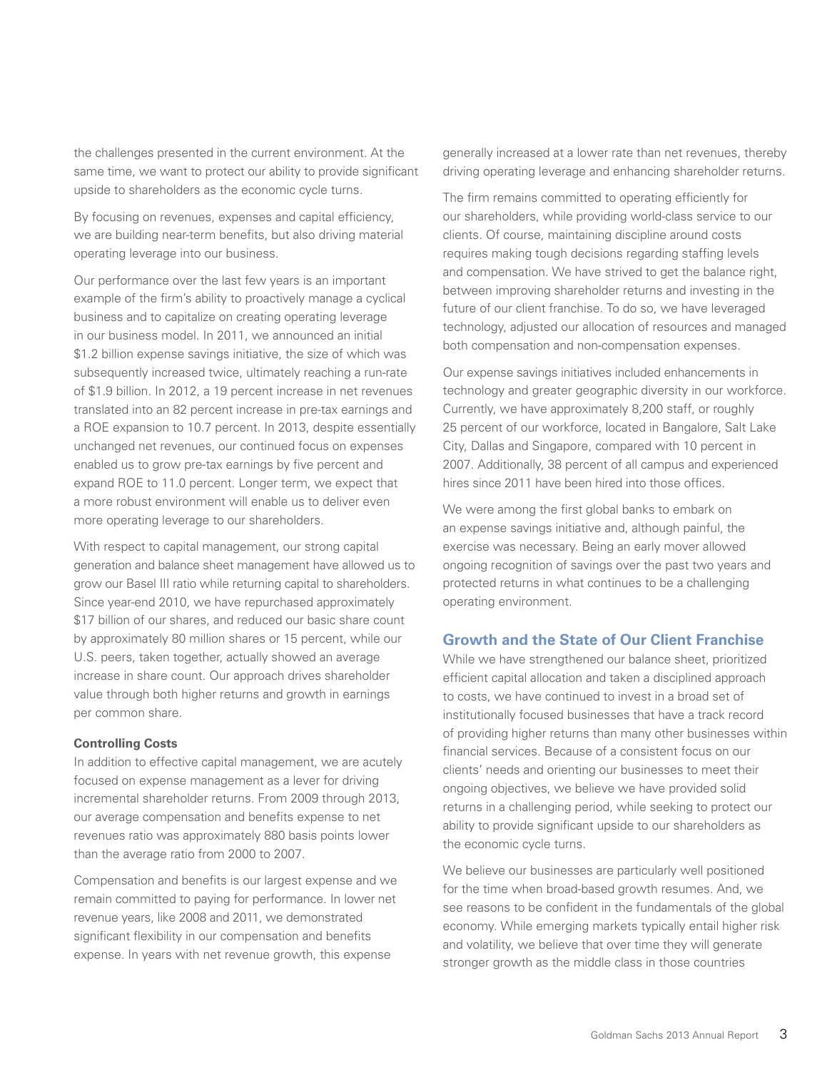the challenges presented in the current environment. At the same time, we want to protect our ability to provide significant upside to shareholders as the economic cycle turns.

By focusing on revenues, expenses and capital efficiency, we are building near-term benefits, but also driving material operating leverage into our business.

Our performance over the last few years is an important example of the firm's ability to proactively manage a cyclical business and to capitalize on creating operating leverage in our business model. In 2011, we announced an initial \$1.2 billion expense savings initiative, the size of which was subsequently increased twice, ultimately reaching a run-rate of \$1.9 billion. In 2012, a 19 percent increase in net revenues translated into an 82 percent increase in pre-tax earnings and a ROE expansion to 10.7 percent. In 2013, despite essentially unchanged net revenues, our continued focus on expenses enabled us to grow pre-tax earnings by five percent and expand ROE to 11.0 percent. Longer term, we expect that a more robust environment will enable us to deliver even more operating leverage to our shareholders.

With respect to capital management, our strong capital generation and balance sheet management have allowed us to grow our Basel III ratio while returning capital to shareholders. Since year-end 2010, we have repurchased approximately \$17 billion of our shares, and reduced our basic share count by approximately 80 million shares or 15 percent, while our U.S. peers, taken together, actually showed an average increase in share count. Our approach drives shareholder value through both higher returns and growth in earnings per common share.

#### **Controlling Costs**

In addition to effective capital management, we are acutely focused on expense management as a lever for driving incremental shareholder returns. From 2009 through 2013, our average compensation and benefits expense to net revenues ratio was approximately 880 basis points lower than the average ratio from 2000 to 2007.

Compensation and benefits is our largest expense and we remain committed to paying for performance. In lower net revenue years, like 2008 and 2011, we demonstrated significant flexibility in our compensation and benefits expense. In years with net revenue growth, this expense

generally increased at a lower rate than net revenues, thereby driving operating leverage and enhancing shareholder returns.

The firm remains committed to operating efficiently for our shareholders, while providing world-class service to our clients. Of course, maintaining discipline around costs requires making tough decisions regarding staffing levels and compensation. We have strived to get the balance right, between improving shareholder returns and investing in the future of our client franchise. To do so, we have leveraged technology, adjusted our allocation of resources and managed both compensation and non-compensation expenses.

Our expense savings initiatives included enhancements in technology and greater geographic diversity in our workforce. Currently, we have approximately 8,200 staff, or roughly 25 percent of our workforce, located in Bangalore, Salt Lake City, Dallas and Singapore, compared with 10 percent in 2007. Additionally, 38 percent of all campus and experienced hires since 2011 have been hired into those offices.

We were among the first global banks to embark on an expense savings initiative and, although painful, the exercise was necessary. Being an early mover allowed ongoing recognition of savings over the past two years and protected returns in what continues to be a challenging operating environment.

# **Growth and the State of Our Client Franchise**

While we have strengthened our balance sheet, prioritized efficient capital allocation and taken a disciplined approach to costs, we have continued to invest in a broad set of institutionally focused businesses that have a track record of providing higher returns than many other businesses within financial services. Because of a consistent focus on our clients' needs and orienting our businesses to meet their ongoing objectives, we believe we have provided solid returns in a challenging period, while seeking to protect our ability to provide significant upside to our shareholders as the economic cycle turns.

We believe our businesses are particularly well positioned for the time when broad-based growth resumes. And, we see reasons to be confident in the fundamentals of the global economy. While emerging markets typically entail higher risk and volatility, we believe that over time they will generate stronger growth as the middle class in those countries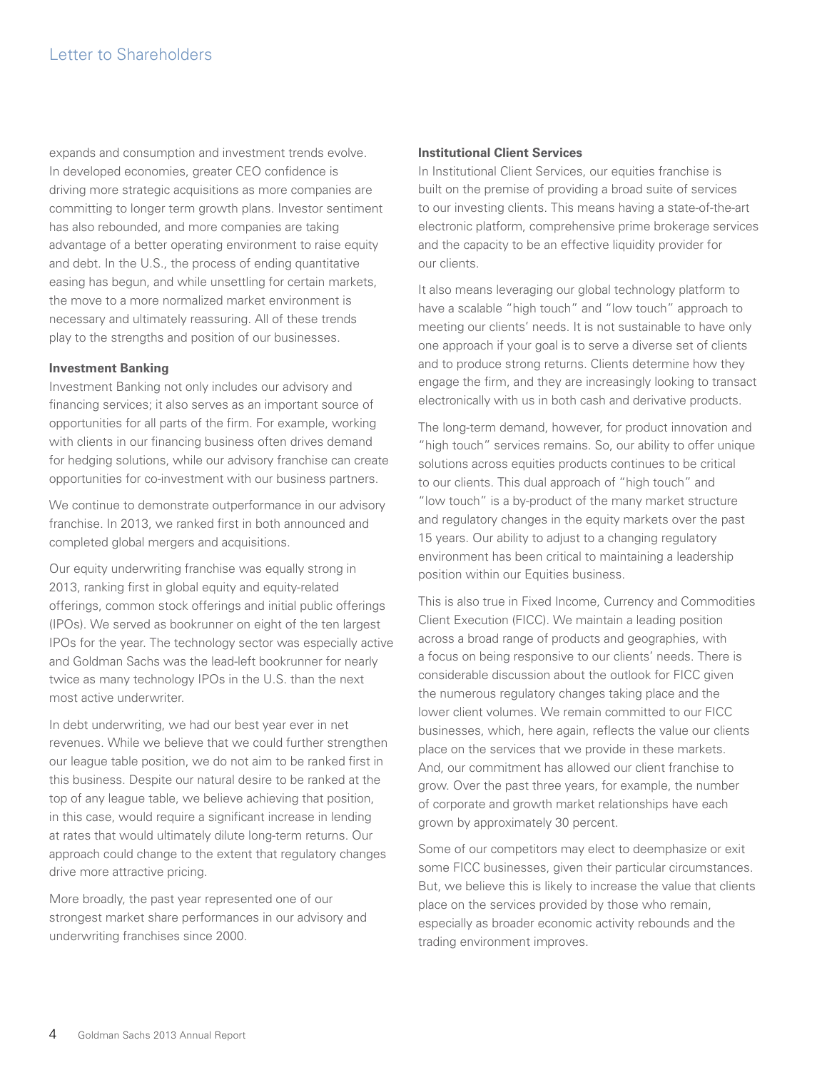expands and consumption and investment trends evolve. In developed economies, greater CEO confidence is driving more strategic acquisitions as more companies are committing to longer term growth plans. Investor sentiment has also rebounded, and more companies are taking advantage of a better operating environment to raise equity and debt. In the U.S., the process of ending quantitative easing has begun, and while unsettling for certain markets, the move to a more normalized market environment is necessary and ultimately reassuring. All of these trends play to the strengths and position of our businesses.

#### **Investment Banking**

Investment Banking not only includes our advisory and financing services; it also serves as an important source of opportunities for all parts of the firm. For example, working with clients in our financing business often drives demand for hedging solutions, while our advisory franchise can create opportunities for co-investment with our business partners.

We continue to demonstrate outperformance in our advisory franchise. In 2013, we ranked first in both announced and completed global mergers and acquisitions.

Our equity underwriting franchise was equally strong in 2013, ranking first in global equity and equity-related offerings, common stock offerings and initial public offerings (IPOs). We served as bookrunner on eight of the ten largest IPOs for the year. The technology sector was especially active and Goldman Sachs was the lead-left bookrunner for nearly twice as many technology IPOs in the U.S. than the next most active underwriter.

In debt underwriting, we had our best year ever in net revenues. While we believe that we could further strengthen our league table position, we do not aim to be ranked first in this business. Despite our natural desire to be ranked at the top of any league table, we believe achieving that position, in this case, would require a significant increase in lending at rates that would ultimately dilute long-term returns. Our approach could change to the extent that regulatory changes drive more attractive pricing.

More broadly, the past year represented one of our strongest market share performances in our advisory and underwriting franchises since 2000.

## **Institutional Client Services**

In Institutional Client Services, our equities franchise is built on the premise of providing a broad suite of services to our investing clients. This means having a state-of-the-art electronic platform, comprehensive prime brokerage services and the capacity to be an effective liquidity provider for our clients.

It also means leveraging our global technology platform to have a scalable "high touch" and "low touch" approach to meeting our clients' needs. It is not sustainable to have only one approach if your goal is to serve a diverse set of clients and to produce strong returns. Clients determine how they engage the firm, and they are increasingly looking to transact electronically with us in both cash and derivative products.

The long-term demand, however, for product innovation and "high touch" services remains. So, our ability to offer unique solutions across equities products continues to be critical to our clients. This dual approach of "high touch" and "low touch" is a by-product of the many market structure and regulatory changes in the equity markets over the past 15 years. Our ability to adjust to a changing regulatory environment has been critical to maintaining a leadership position within our Equities business.

This is also true in Fixed Income, Currency and Commodities Client Execution (FICC). We maintain a leading position across a broad range of products and geographies, with a focus on being responsive to our clients' needs. There is considerable discussion about the outlook for FICC given the numerous regulatory changes taking place and the lower client volumes. We remain committed to our FICC businesses, which, here again, reflects the value our clients place on the services that we provide in these markets. And, our commitment has allowed our client franchise to grow. Over the past three years, for example, the number of corporate and growth market relationships have each grown by approximately 30 percent.

Some of our competitors may elect to deemphasize or exit some FICC businesses, given their particular circumstances. But, we believe this is likely to increase the value that clients place on the services provided by those who remain, especially as broader economic activity rebounds and the trading environment improves.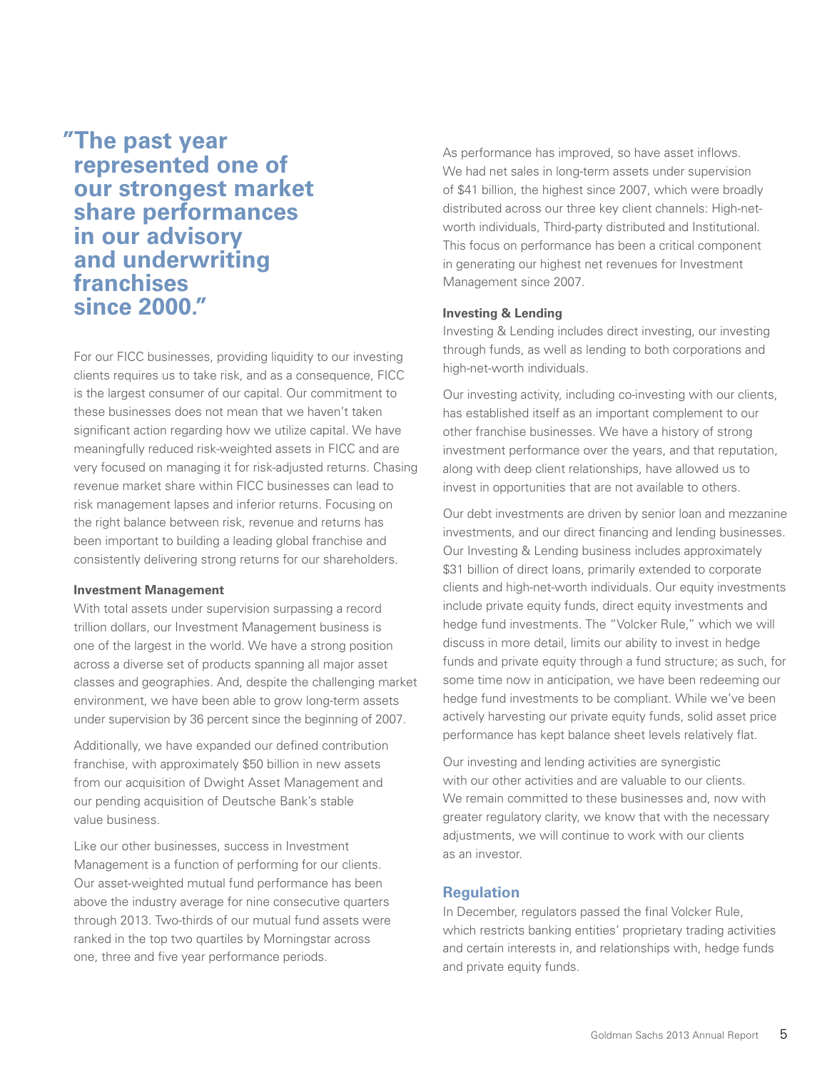**"The past year represented one of our strongest market share performances in our advisory and underwriting franchises since 2000."** 

For our FICC businesses, providing liquidity to our investing clients requires us to take risk, and as a consequence, FICC is the largest consumer of our capital. Our commitment to these businesses does not mean that we haven't taken significant action regarding how we utilize capital. We have meaningfully reduced risk-weighted assets in FICC and are very focused on managing it for risk-adjusted returns. Chasing revenue market share within FICC businesses can lead to risk management lapses and inferior returns. Focusing on the right balance between risk, revenue and returns has been important to building a leading global franchise and consistently delivering strong returns for our shareholders.

#### **Investment Management**

With total assets under supervision surpassing a record trillion dollars, our Investment Management business is one of the largest in the world. We have a strong position across a diverse set of products spanning all major asset classes and geographies. And, despite the challenging market environment, we have been able to grow long-term assets under supervision by 36 percent since the beginning of 2007.

Additionally, we have expanded our defined contribution franchise, with approximately \$50 billion in new assets from our acquisition of Dwight Asset Management and our pending acquisition of Deutsche Bank's stable value business.

Like our other businesses, success in Investment Management is a function of performing for our clients. Our asset-weighted mutual fund performance has been above the industry average for nine consecutive quarters through 2013. Two-thirds of our mutual fund assets were ranked in the top two quartiles by Morningstar across one, three and five year performance periods.

As performance has improved, so have asset inflows. We had net sales in long-term assets under supervision of \$41 billion, the highest since 2007, which were broadly distributed across our three key client channels: High-networth individuals, Third-party distributed and Institutional. This focus on performance has been a critical component in generating our highest net revenues for Investment Management since 2007.

#### **Investing & Lending**

Investing & Lending includes direct investing, our investing through funds, as well as lending to both corporations and high-net-worth individuals.

Our investing activity, including co-investing with our clients, has established itself as an important complement to our other franchise businesses. We have a history of strong investment performance over the years, and that reputation, along with deep client relationships, have allowed us to invest in opportunities that are not available to others.

Our debt investments are driven by senior loan and mezzanine investments, and our direct financing and lending businesses. Our Investing & Lending business includes approximately \$31 billion of direct loans, primarily extended to corporate clients and high-net-worth individuals. Our equity investments include private equity funds, direct equity investments and hedge fund investments. The "Volcker Rule," which we will discuss in more detail, limits our ability to invest in hedge funds and private equity through a fund structure; as such, for some time now in anticipation, we have been redeeming our hedge fund investments to be compliant. While we've been actively harvesting our private equity funds, solid asset price performance has kept balance sheet levels relatively flat.

Our investing and lending activities are synergistic with our other activities and are valuable to our clients. We remain committed to these businesses and, now with greater regulatory clarity, we know that with the necessary adjustments, we will continue to work with our clients as an investor.

#### **Regulation**

In December, regulators passed the final Volcker Rule, which restricts banking entities' proprietary trading activities and certain interests in, and relationships with, hedge funds and private equity funds.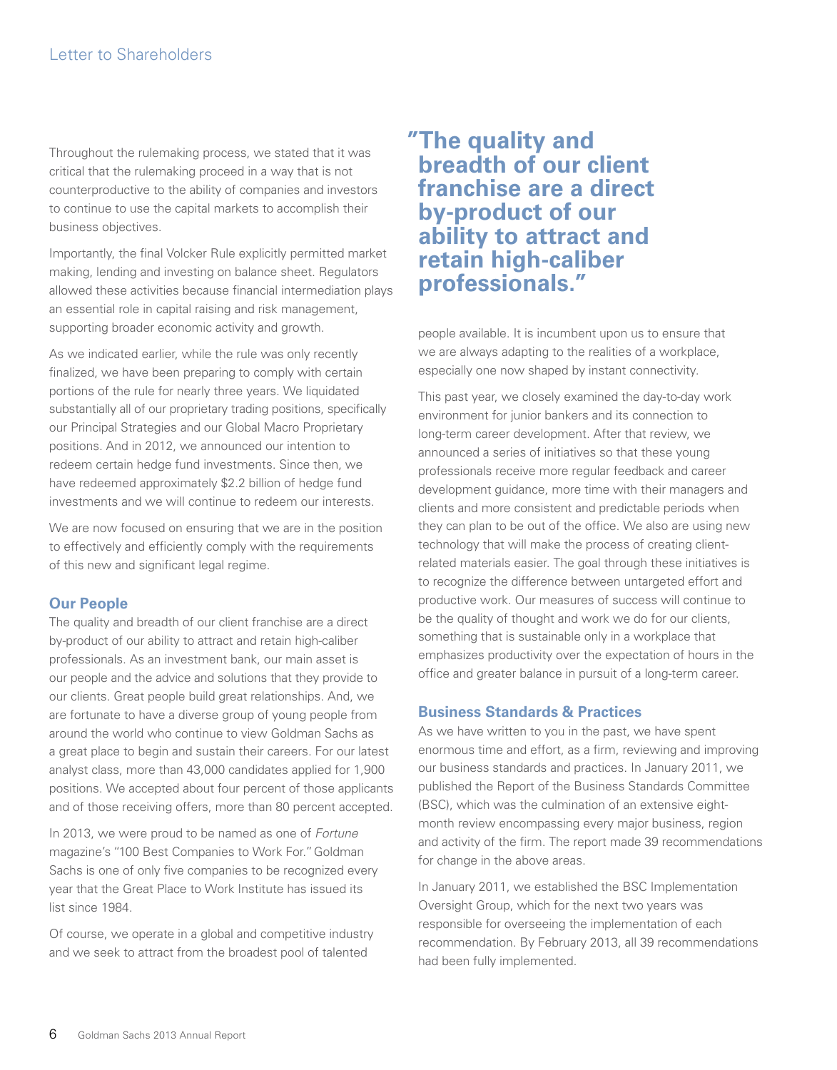Throughout the rulemaking process, we stated that it was critical that the rulemaking proceed in a way that is not counterproductive to the ability of companies and investors to continue to use the capital markets to accomplish their business objectives.

Importantly, the final Volcker Rule explicitly permitted market making, lending and investing on balance sheet. Regulators allowed these activities because financial intermediation plays an essential role in capital raising and risk management, supporting broader economic activity and growth.

As we indicated earlier, while the rule was only recently finalized, we have been preparing to comply with certain portions of the rule for nearly three years. We liquidated substantially all of our proprietary trading positions, specifically our Principal Strategies and our Global Macro Proprietary positions. And in 2012, we announced our intention to redeem certain hedge fund investments. Since then, we have redeemed approximately \$2.2 billion of hedge fund investments and we will continue to redeem our interests.

We are now focused on ensuring that we are in the position to effectively and efficiently comply with the requirements of this new and significant legal regime.

# **Our People**

The quality and breadth of our client franchise are a direct by-product of our ability to attract and retain high-caliber professionals. As an investment bank, our main asset is our people and the advice and solutions that they provide to our clients. Great people build great relationships. And, we are fortunate to have a diverse group of young people from around the world who continue to view Goldman Sachs as a great place to begin and sustain their careers. For our latest analyst class, more than 43,000 candidates applied for 1,900 positions. We accepted about four percent of those applicants and of those receiving offers, more than 80 percent accepted.

In 2013, we were proud to be named as one of *Fortune* magazine's "100 Best Companies to Work For." Goldman Sachs is one of only five companies to be recognized every year that the Great Place to Work Institute has issued its list since 1984.

Of course, we operate in a global and competitive industry and we seek to attract from the broadest pool of talented

# **"The quality and breadth of our client franchise are a direct by-product of our ability to attract and retain high-caliber professionals."**

people available. It is incumbent upon us to ensure that we are always adapting to the realities of a workplace, especially one now shaped by instant connectivity.

This past year, we closely examined the day-to-day work environment for junior bankers and its connection to long-term career development. After that review, we announced a series of initiatives so that these young professionals receive more regular feedback and career development guidance, more time with their managers and clients and more consistent and predictable periods when they can plan to be out of the office. We also are using new technology that will make the process of creating clientrelated materials easier. The goal through these initiatives is to recognize the difference between untargeted effort and productive work. Our measures of success will continue to be the quality of thought and work we do for our clients, something that is sustainable only in a workplace that emphasizes productivity over the expectation of hours in the office and greater balance in pursuit of a long-term career.

# **Business Standards & Practices**

As we have written to you in the past, we have spent enormous time and effort, as a firm, reviewing and improving our business standards and practices. In January 2011, we published the Report of the Business Standards Committee (BSC), which was the culmination of an extensive eightmonth review encompassing every major business, region and activity of the firm. The report made 39 recommendations for change in the above areas.

In January 2011, we established the BSC Implementation Oversight Group, which for the next two years was responsible for overseeing the implementation of each recommendation. By February 2013, all 39 recommendations had been fully implemented.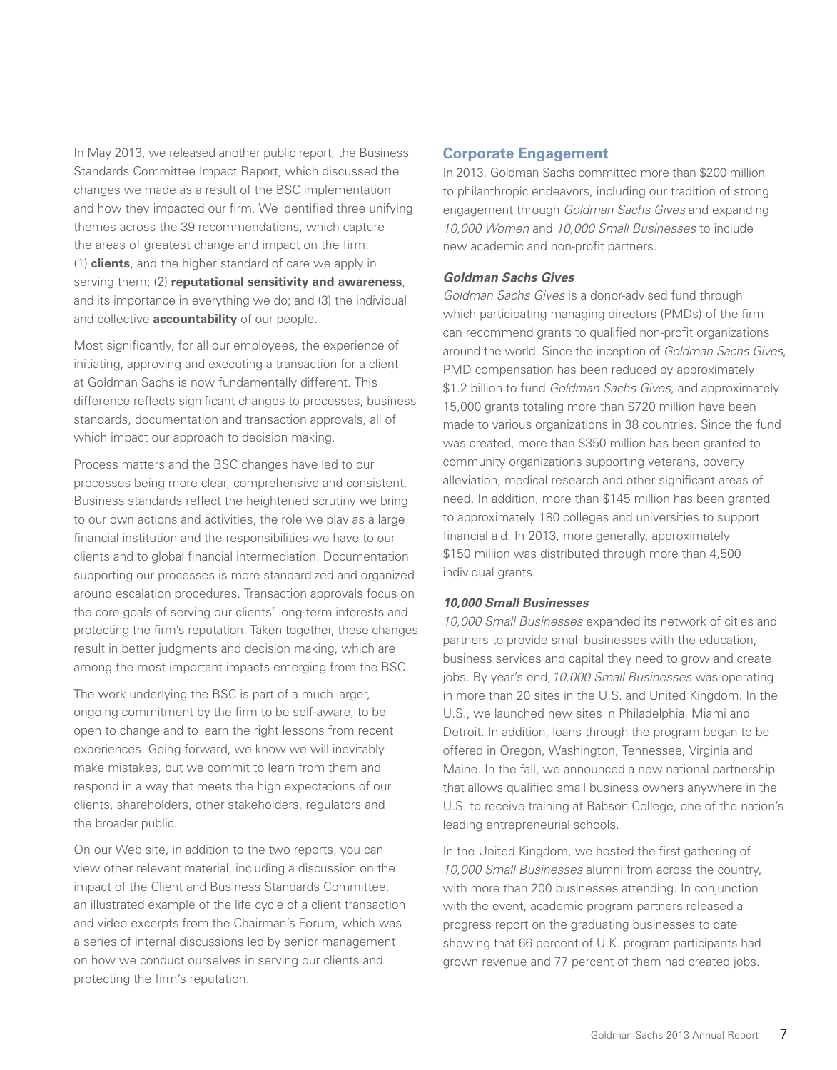In May 2013, we released another public report, the Business Standards Committee Impact Report, which discussed the changes we made as a result of the BSC implementation and how they impacted our firm. We identified three unifying themes across the 39 recommendations, which capture the areas of greatest change and impact on the firm: (1) **clients**, and the higher standard of care we apply in serving them; (2) **reputational sensitivity and awareness**, and its importance in everything we do; and (3) the individual and collective **accountability** of our people.

Most significantly, for all our employees, the experience of initiating, approving and executing a transaction for a client at Goldman Sachs is now fundamentally different. This difference reflects significant changes to processes, business standards, documentation and transaction approvals, all of which impact our approach to decision making.

Process matters and the BSC changes have led to our processes being more clear, comprehensive and consistent. Business standards reflect the heightened scrutiny we bring to our own actions and activities, the role we play as a large financial institution and the responsibilities we have to our clients and to global financial intermediation. Documentation supporting our processes is more standardized and organized around escalation procedures. Transaction approvals focus on the core goals of serving our clients' long-term interests and protecting the firm's reputation. Taken together, these changes result in better judgments and decision making, which are among the most important impacts emerging from the BSC.

The work underlying the BSC is part of a much larger, ongoing commitment by the firm to be self-aware, to be open to change and to learn the right lessons from recent experiences. Going forward, we know we will inevitably make mistakes, but we commit to learn from them and respond in a way that meets the high expectations of our clients, shareholders, other stakeholders, regulators and the broader public.

On our Web site, in addition to the two reports, you can view other relevant material, including a discussion on the impact of the Client and Business Standards Committee, an illustrated example of the life cycle of a client transaction and video excerpts from the Chairman's Forum, which was a series of internal discussions led by senior management on how we conduct ourselves in serving our clients and protecting the firm's reputation.

# **Corporate Engagement**

In 2013, Goldman Sachs committed more than \$200 million to philanthropic endeavors, including our tradition of strong engagement through *Goldman Sachs Gives* and expanding *10,000 Women* and *10,000 Small Businesses* to include new academic and non-profit partners.

#### *Goldman Sachs Gives*

*Goldman Sachs Gives* is a donor-advised fund through which participating managing directors (PMDs) of the firm can recommend grants to qualified non-profit organizations around the world. Since the inception of *Goldman Sachs Gives*, PMD compensation has been reduced by approximately \$1.2 billion to fund *Goldman Sachs Gives*, and approximately 15,000 grants totaling more than \$720 million have been made to various organizations in 38 countries. Since the fund was created, more than \$350 million has been granted to community organizations supporting veterans, poverty alleviation, medical research and other significant areas of need. In addition, more than \$145 million has been granted to approximately 180 colleges and universities to support financial aid. In 2013, more generally, approximately \$150 million was distributed through more than 4,500 individual grants.

#### *10,000 Small Businesses*

*10,000 Small Businesses* expanded its network of cities and partners to provide small businesses with the education, business services and capital they need to grow and create jobs. By year's end, *10,000 Small Businesses* was operating in more than 20 sites in the U.S. and United Kingdom. In the U.S., we launched new sites in Philadelphia, Miami and Detroit. In addition, loans through the program began to be offered in Oregon, Washington, Tennessee, Virginia and Maine. In the fall, we announced a new national partnership that allows qualified small business owners anywhere in the U.S. to receive training at Babson College, one of the nation's leading entrepreneurial schools.

In the United Kingdom, we hosted the first gathering of *10,000 Small Businesses* alumni from across the country, with more than 200 businesses attending. In conjunction with the event, academic program partners released a progress report on the graduating businesses to date showing that 66 percent of U.K. program participants had grown revenue and 77 percent of them had created jobs.